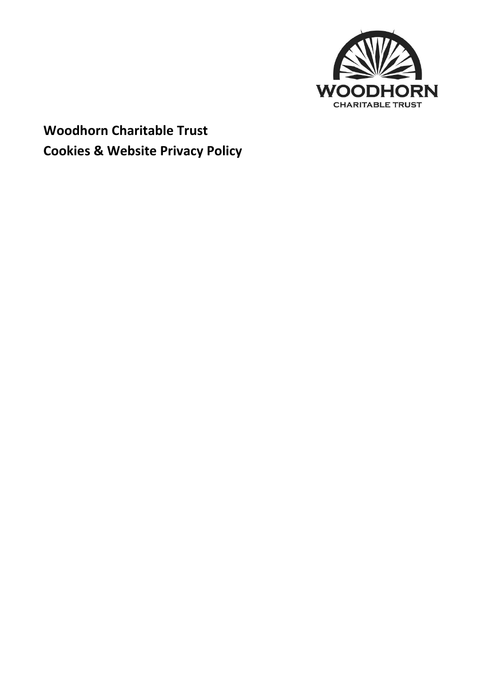

# **Woodhorn Charitable Trust Cookies & Website Privacy Policy**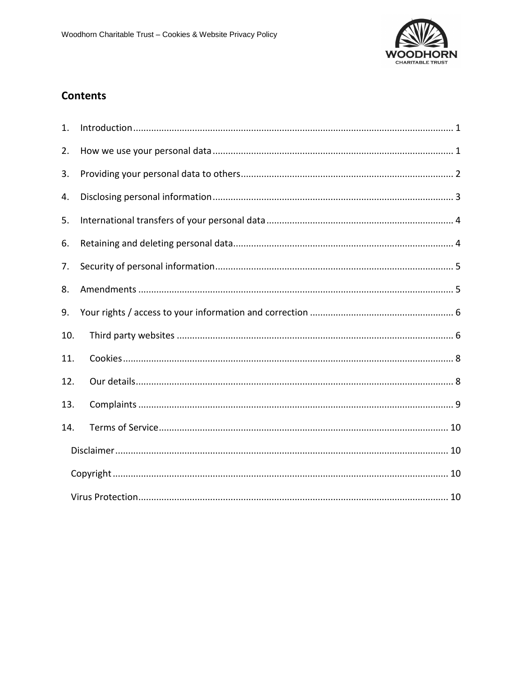

# **Contents**

| 1.  |  |
|-----|--|
| 2.  |  |
| 3.  |  |
| 4.  |  |
| 5.  |  |
| 6.  |  |
| 7.  |  |
| 8.  |  |
| 9.  |  |
| 10. |  |
| 11. |  |
| 12. |  |
| 13. |  |
| 14. |  |
|     |  |
|     |  |
|     |  |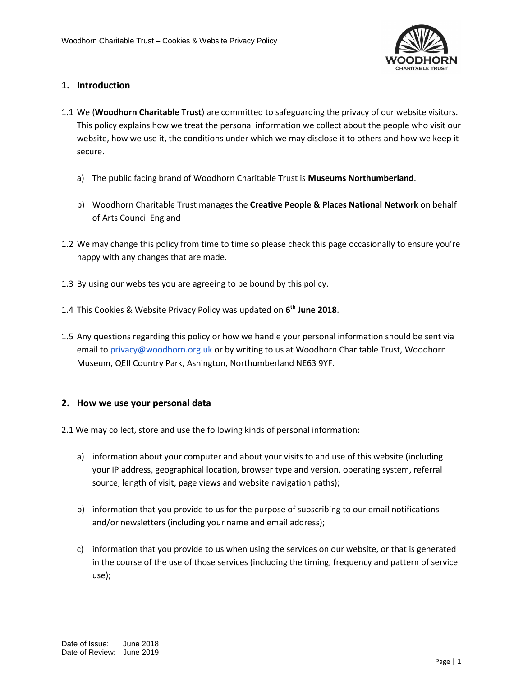

# <span id="page-2-0"></span>**1. Introduction**

- 1.1 We (**Woodhorn Charitable Trust**) are committed to safeguarding the privacy of our website visitors. This policy explains how we treat the personal information we collect about the people who visit our website, how we use it, the conditions under which we may disclose it to others and how we keep it secure.
	- a) The public facing brand of Woodhorn Charitable Trust is **Museums Northumberland**.
	- b) Woodhorn Charitable Trust manages the **Creative People & Places National Network** on behalf of Arts Council England
- 1.2 We may change this policy from time to time so please check this page occasionally to ensure you're happy with any changes that are made.
- 1.3 By using our websites you are agreeing to be bound by this policy.
- 1.4 This Cookies & Website Privacy Policy was updated on **6 th June 2018**.
- 1.5 Any questions regarding this policy or how we handle your personal information should be sent via email to [privacy@](mailto:dtate@woodhorn.org.uk)woodhorn.org.uk or by writing to us at Woodhorn Charitable Trust, Woodhorn Museum, QEII Country Park, Ashington, Northumberland NE63 9YF.

### <span id="page-2-1"></span>**2. How we use your personal data**

- 2.1 We may collect, store and use the following kinds of personal information:
	- a) information about your computer and about your visits to and use of this website (including your IP address, geographical location, browser type and version, operating system, referral source, length of visit, page views and website navigation paths);
	- b) information that you provide to us for the purpose of subscribing to our email notifications and/or newsletters (including your name and email address);
	- c) information that you provide to us when using the services on our website, or that is generated in the course of the use of those services (including the timing, frequency and pattern of service use);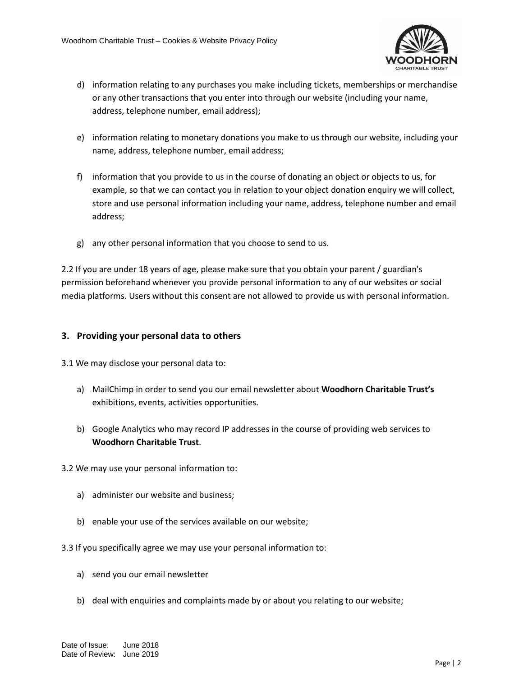

- d) information relating to any purchases you make including tickets, memberships or merchandise or any other transactions that you enter into through our website (including your name, address, telephone number, email address);
- e) information relating to monetary donations you make to us through our website, including your name, address, telephone number, email address;
- f) information that you provide to us in the course of donating an object or objects to us, for example, so that we can contact you in relation to your object donation enquiry we will collect, store and use personal information including your name, address, telephone number and email address;
- g) any other personal information that you choose to send to us.

2.2 If you are under 18 years of age, please make sure that you obtain your parent / guardian's permission beforehand whenever you provide personal information to any of our websites or social media platforms. Users without this consent are not allowed to provide us with personal information.

## <span id="page-3-0"></span>**3. Providing your personal data to others**

3.1 We may disclose your personal data to:

- a) MailChimp in order to send you our email newsletter about **Woodhorn Charitable Trust's**  exhibitions, events, activities opportunities.
- b) Google Analytics who may record IP addresses in the course of providing web services to **Woodhorn Charitable Trust**.
- 3.2 We may use your personal information to:
	- a) administer our website and business;
	- b) enable your use of the services available on our website;
- 3.3 If you specifically agree we may use your personal information to:
	- a) send you our email newsletter
	- b) deal with enquiries and complaints made by or about you relating to our website;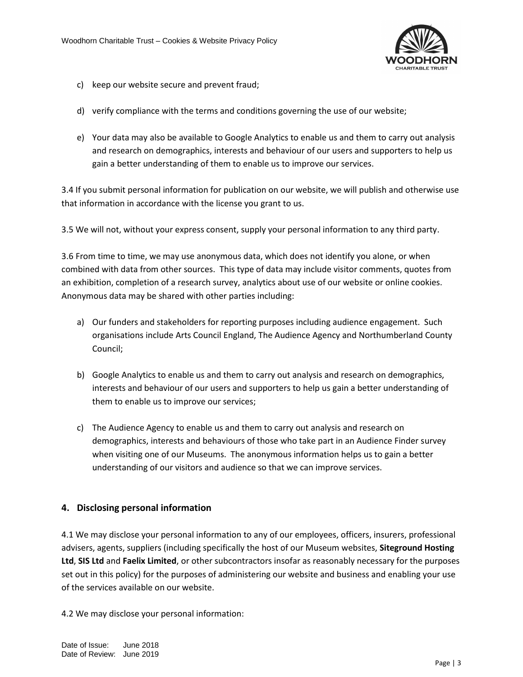

- c) keep our website secure and prevent fraud;
- d) verify compliance with the terms and conditions governing the use of our website;
- e) Your data may also be available to Google Analytics to enable us and them to carry out analysis and research on demographics, interests and behaviour of our users and supporters to help us gain a better understanding of them to enable us to improve our services.

3.4 If you submit personal information for publication on our website, we will publish and otherwise use that information in accordance with the license you grant to us.

3.5 We will not, without your express consent, supply your personal information to any third party.

3.6 From time to time, we may use anonymous data, which does not identify you alone, or when combined with data from other sources. This type of data may include visitor comments, quotes from an exhibition, completion of a research survey, analytics about use of our website or online cookies. Anonymous data may be shared with other parties including:

- a) Our funders and stakeholders for reporting purposes including audience engagement. Such organisations include Arts Council England, The Audience Agency and Northumberland County Council;
- b) Google Analytics to enable us and them to carry out analysis and research on demographics, interests and behaviour of our users and supporters to help us gain a better understanding of them to enable us to improve our services;
- c) The Audience Agency to enable us and them to carry out analysis and research on demographics, interests and behaviours of those who take part in an Audience Finder survey when visiting one of our Museums. The anonymous information helps us to gain a better understanding of our visitors and audience so that we can improve services.

### <span id="page-4-0"></span>**4. Disclosing personal information**

4.1 We may disclose your personal information to any of our employees, officers, insurers, professional advisers, agents, suppliers (including specifically the host of our Museum websites, **Siteground Hosting Ltd**, **SIS Ltd** and **Faelix Limited**, or other subcontractors insofar as reasonably necessary for the purposes set out in this policy) for the purposes of administering our website and business and enabling your use of the services available on our website.

4.2 We may disclose your personal information: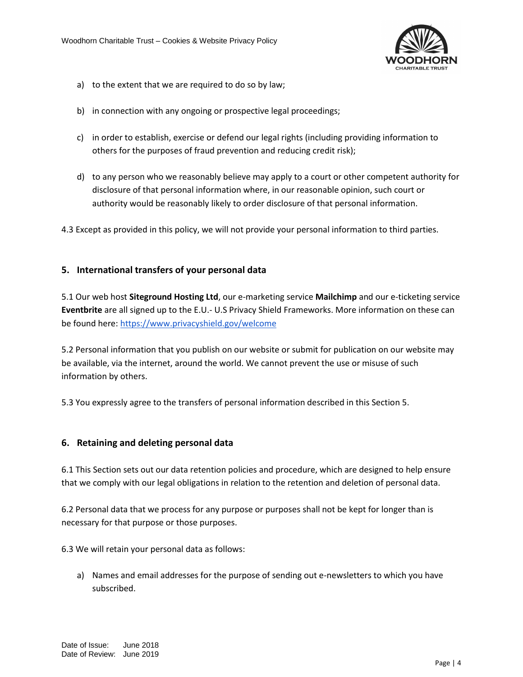

- a) to the extent that we are required to do so by law;
- b) in connection with any ongoing or prospective legal proceedings;
- c) in order to establish, exercise or defend our legal rights (including providing information to others for the purposes of fraud prevention and reducing credit risk);
- d) to any person who we reasonably believe may apply to a court or other competent authority for disclosure of that personal information where, in our reasonable opinion, such court or authority would be reasonably likely to order disclosure of that personal information.
- 4.3 Except as provided in this policy, we will not provide your personal information to third parties.

# <span id="page-5-0"></span>**5. International transfers of your personal data**

5.1 Our web host **Siteground Hosting Ltd**, our e-marketing service **Mailchimp** and our e-ticketing service **Eventbrite** are all signed up to the E.U.- U.S Privacy Shield Frameworks. More information on these can be found here[: https://www.privacyshield.gov/welcome](https://www.privacyshield.gov/welcome)

5.2 Personal information that you publish on our website or submit for publication on our website may be available, via the internet, around the world. We cannot prevent the use or misuse of such information by others.

5.3 You expressly agree to the transfers of personal information described in this Section 5.

### <span id="page-5-1"></span>**6. Retaining and deleting personal data**

6.1 This Section sets out our data retention policies and procedure, which are designed to help ensure that we comply with our legal obligations in relation to the retention and deletion of personal data.

6.2 Personal data that we process for any purpose or purposes shall not be kept for longer than is necessary for that purpose or those purposes.

6.3 We will retain your personal data as follows:

a) Names and email addresses for the purpose of sending out e-newsletters to which you have subscribed.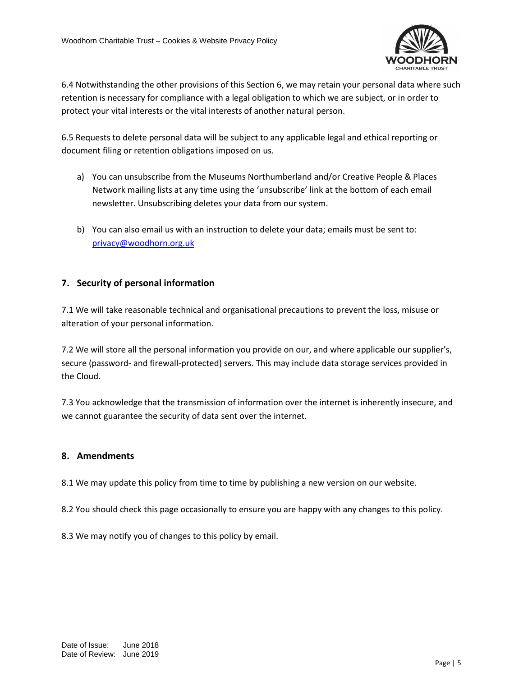

6.4 Notwithstanding the other provisions of this Section 6, we may retain your personal data where such retention is necessary for compliance with a legal obligation to which we are subject, or in order to protect your vital interests or the vital interests of another natural person.

6.5 Requests to delete personal data will be subject to any applicable legal and ethical reporting or document filing or retention obligations imposed on us.

- a) You can unsubscribe from the Museums Northumberland and/or Creative People & Places Network mailing lists at any time using the 'unsubscribe' link at the bottom of each email newsletter. Unsubscribing deletes your data from our system.
- b) You can also email us with an instruction to delete your data; emails must be sent to: [privacy@woodhorn.org.uk](mailto:privacy@woodhorn.org.uk)

# <span id="page-6-0"></span>**7. Security of personal information**

7.1 We will take reasonable technical and organisational precautions to prevent the loss, misuse or alteration of your personal information.

7.2 We will store all the personal information you provide on our, and where applicable our supplier's, secure (password- and firewall-protected) servers. This may include data storage services provided in the Cloud.

7.3 You acknowledge that the transmission of information over the internet is inherently insecure, and we cannot guarantee the security of data sent over the internet.

# <span id="page-6-1"></span>**8. Amendments**

8.1 We may update this policy from time to time by publishing a new version on our website.

8.2 You should check this page occasionally to ensure you are happy with any changes to this policy.

8.3 We may notify you of changes to this policy by email.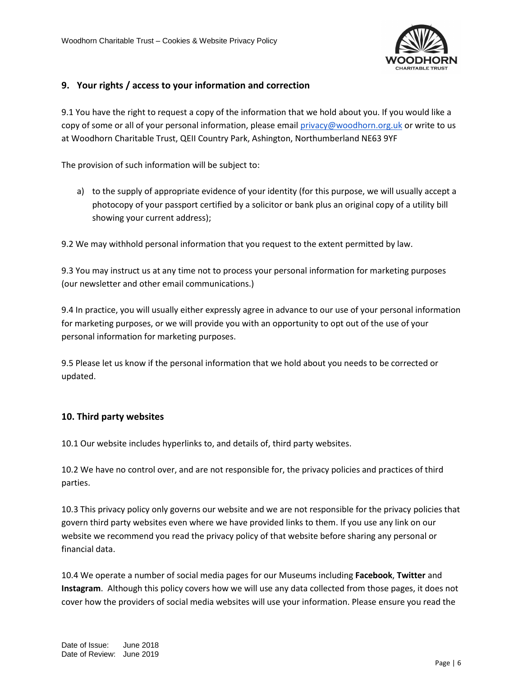

# <span id="page-7-0"></span>**9. Your rights / access to your information and correction**

9.1 You have the right to request a copy of the information that we hold about you. If you would like a copy of some or all of your personal information, please emai[l privacy@](mailto:dtate@woodhorn.org.uk)woodhorn.org.uk or write to us at Woodhorn Charitable Trust, QEII Country Park, Ashington, Northumberland NE63 9YF

The provision of such information will be subject to:

a) to the supply of appropriate evidence of your identity (for this purpose, we will usually accept a photocopy of your passport certified by a solicitor or bank plus an original copy of a utility bill showing your current address);

9.2 We may withhold personal information that you request to the extent permitted by law.

9.3 You may instruct us at any time not to process your personal information for marketing purposes (our newsletter and other email communications.)

9.4 In practice, you will usually either expressly agree in advance to our use of your personal information for marketing purposes, or we will provide you with an opportunity to opt out of the use of your personal information for marketing purposes.

9.5 Please let us know if the personal information that we hold about you needs to be corrected or updated.

### <span id="page-7-1"></span>**10. Third party websites**

10.1 Our website includes hyperlinks to, and details of, third party websites.

10.2 We have no control over, and are not responsible for, the privacy policies and practices of third parties.

10.3 This privacy policy only governs our website and we are not responsible for the privacy policies that govern third party websites even where we have provided links to them. If you use any link on our website we recommend you read the privacy policy of that website before sharing any personal or financial data.

10.4 We operate a number of social media pages for our Museums including **Facebook**, **Twitter** and **Instagram**. Although this policy covers how we will use any data collected from those pages, it does not cover how the providers of social media websites will use your information. Please ensure you read the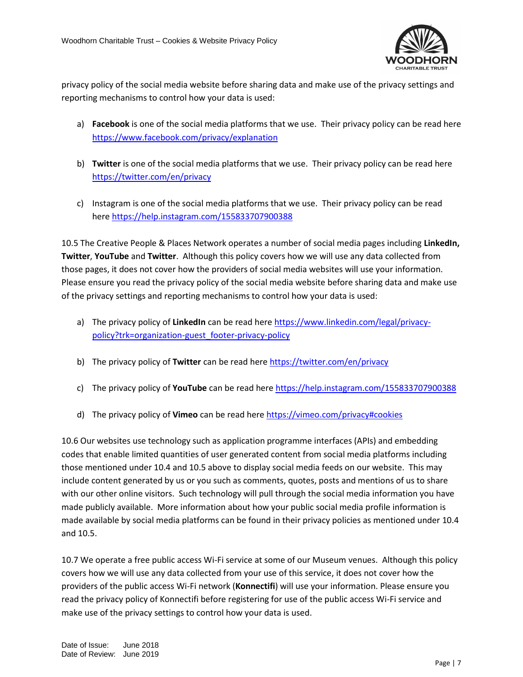

privacy policy of the social media website before sharing data and make use of the privacy settings and reporting mechanisms to control how your data is used:

- a) **Facebook** is one of the social media platforms that we use. Their privacy policy can be read here <https://www.facebook.com/privacy/explanation>
- b) **Twitter** is one of the social media platforms that we use. Their privacy policy can be read here <https://twitter.com/en/privacy>
- c) Instagram is one of the social media platforms that we use. Their privacy policy can be read here<https://help.instagram.com/155833707900388>

10.5 The Creative People & Places Network operates a number of social media pages including **LinkedIn, Twitter**, **YouTube** and **Twitter**. Although this policy covers how we will use any data collected from those pages, it does not cover how the providers of social media websites will use your information. Please ensure you read the privacy policy of the social media website before sharing data and make use of the privacy settings and reporting mechanisms to control how your data is used:

- a) The privacy policy of **LinkedIn** can be read here [https://www.linkedin.com/legal/privacy](https://www.linkedin.com/legal/privacy-policy?trk=organization-guest_footer-privacy-policy)[policy?trk=organization-guest\\_footer-privacy-policy](https://www.linkedin.com/legal/privacy-policy?trk=organization-guest_footer-privacy-policy)
- b) The privacy policy of **Twitter** can be read her[e https://twitter.com/en/privacy](https://twitter.com/en/privacy)
- c) The privacy policy of **YouTube** can be read her[e https://help.instagram.com/155833707900388](https://help.instagram.com/155833707900388)
- d) The privacy policy of **Vimeo** can be read here [https://vimeo.com/privacy#cookies](http://vimeo.com/privacy#cookies)

10.6 Our websites use technology such as application programme interfaces (APIs) and embedding codes that enable limited quantities of user generated content from social media platforms including those mentioned under 10.4 and 10.5 above to display social media feeds on our website. This may include content generated by us or you such as comments, quotes, posts and mentions of us to share with our other online visitors. Such technology will pull through the social media information you have made publicly available. More information about how your public social media profile information is made available by social media platforms can be found in their privacy policies as mentioned under 10.4 and 10.5.

10.7 We operate a free public access Wi-Fi service at some of our Museum venues. Although this policy covers how we will use any data collected from your use of this service, it does not cover how the providers of the public access Wi-Fi network (**Konnectifi**) will use your information. Please ensure you read the privacy policy of Konnectifi before registering for use of the public access Wi-Fi service and make use of the privacy settings to control how your data is used.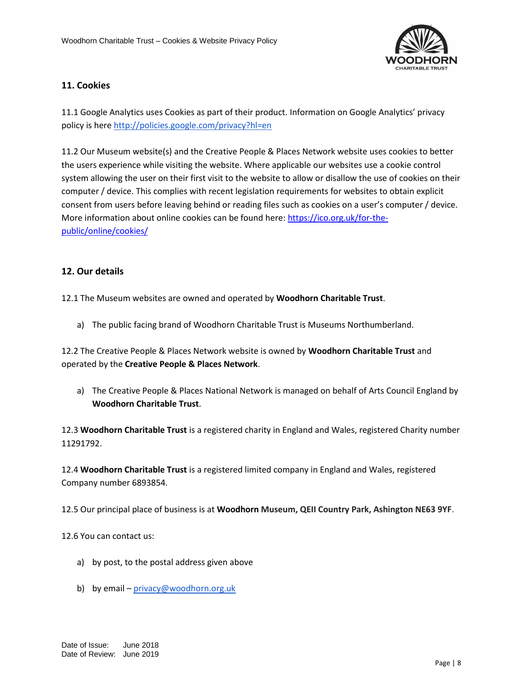

# <span id="page-9-0"></span>**11. Cookies**

11.1 Google Analytics uses Cookies as part of their product. Information on Google Analytics' privacy policy is here<http://policies.google.com/privacy?hl=en>

11.2 Our Museum website(s) and the Creative People & Places Network website uses cookies to better the users experience while visiting the website. Where applicable our websites use a cookie control system allowing the user on their first visit to the website to allow or disallow the use of cookies on their computer / device. This complies with recent legislation requirements for websites to obtain explicit consent from users before leaving behind or reading files such as cookies on a user's computer / device. More information about online cookies can be found here[: https://ico.org.uk/for-the](https://ico.org.uk/for-the-public/online/cookies/)[public/online/cookies/](https://ico.org.uk/for-the-public/online/cookies/)

# <span id="page-9-1"></span>**12. Our details**

12.1 The Museum websites are owned and operated by **Woodhorn Charitable Trust**.

a) The public facing brand of Woodhorn Charitable Trust is Museums Northumberland.

12.2 The Creative People & Places Network website is owned by **Woodhorn Charitable Trust** and operated by the **Creative People & Places Network**.

a) The Creative People & Places National Network is managed on behalf of Arts Council England by **Woodhorn Charitable Trust**.

12.3 **Woodhorn Charitable Trust** is a registered charity in England and Wales, registered Charity number 11291792.

12.4 **Woodhorn Charitable Trust** is a registered limited company in England and Wales, registered Company number 6893854.

12.5 Our principal place of business is at **Woodhorn Museum, QEII Country Park, Ashington NE63 9YF**.

12.6 You can contact us:

- a) by post, to the postal address given above
- b) by email [privacy@woodhorn.org.uk](mailto:dtate@woodhorn.org.uk)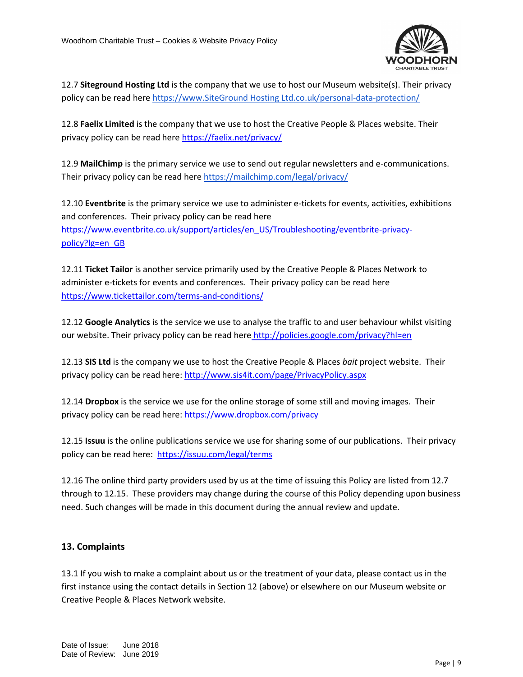

12.7 **Siteground Hosting Ltd** is the company that we use to host our Museum website(s). Their privacy policy can be read her[e https://www.SiteGround Hosting Ltd.co.uk/personal-data-protection/](https://www.ovh.co.uk/personal-data-protection/)

12.8 **Faelix Limited** is the company that we use to host the Creative People & Places website. Their privacy policy can be read here<https://faelix.net/privacy/>

12.9 **MailChimp** is the primary service we use to send out regular newsletters and e-communications. Their privacy policy can be read her[e https://mailchimp.com/legal/privacy/](https://mailchimp.com/legal/privacy/)

12.10 **Eventbrite** is the primary service we use to administer e-tickets for events, activities, exhibitions and conferences. Their privacy policy can be read here [https://www.eventbrite.co.uk/support/articles/en\\_US/Troubleshooting/eventbrite-privacy](https://www.eventbrite.co.uk/support/articles/en_US/Troubleshooting/eventbrite-privacy-policy?lg=en_GB)[policy?lg=en\\_GB](https://www.eventbrite.co.uk/support/articles/en_US/Troubleshooting/eventbrite-privacy-policy?lg=en_GB)

12.11 **Ticket Tailor** is another service primarily used by the Creative People & Places Network to administer e-tickets for events and conferences. Their privacy policy can be read here <https://www.tickettailor.com/terms-and-conditions/>

12.12 **Google Analytics** is the service we use to analyse the traffic to and user behaviour whilst visiting our website. Their privacy policy can be read here <http://policies.google.com/privacy?hl=en>

12.13 **SIS Ltd** is the company we use to host the Creative People & Places *bait* project website. Their privacy policy can be read here:<http://www.sis4it.com/page/PrivacyPolicy.aspx>

12.14 **Dropbox** is the service we use for the online storage of some still and moving images. Their privacy policy can be read here:<https://www.dropbox.com/privacy>

12.15 **Issuu** is the online publications service we use for sharing some of our publications. Their privacy policy can be read here: <https://issuu.com/legal/terms>

12.16 The online third party providers used by us at the time of issuing this Policy are listed from 12.7 through to 12.15. These providers may change during the course of this Policy depending upon business need. Such changes will be made in this document during the annual review and update.

# <span id="page-10-0"></span>**13. Complaints**

13.1 If you wish to make a complaint about us or the treatment of your data, please contact us in the first instance using the contact details in Section 12 (above) or elsewhere on our Museum website or Creative People & Places Network website.